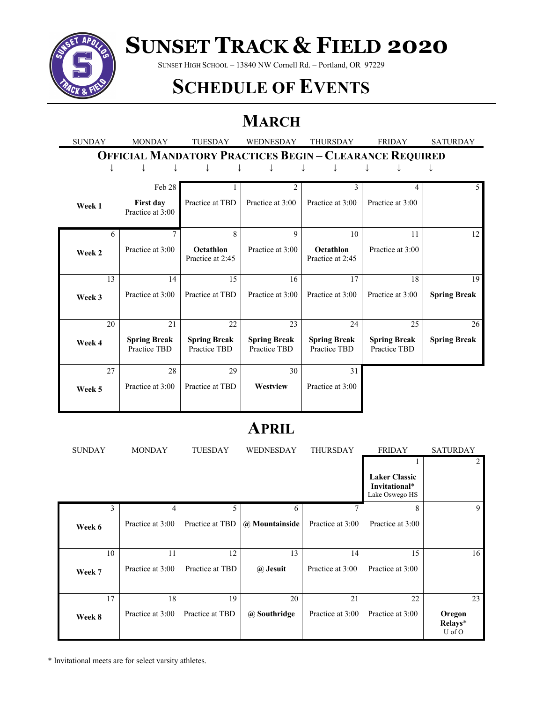

# **SUNSET TRACK & FIELD 2020**

SUNSET HIGH SCHOOL – 13840 NW Cornell Rd. – Portland, OR 97229

### **SCHEDULE OF EVENTS**

### **MARCH**

| <b>SUNDAY</b>                                                  | <b>MONDAY</b>                       | <b>TUESDAY</b>                      | <b>WEDNESDAY</b>                    | <b>THURSDAY</b>                     | <b>FRIDAY</b>                       | <b>SATURDAY</b>     |  |
|----------------------------------------------------------------|-------------------------------------|-------------------------------------|-------------------------------------|-------------------------------------|-------------------------------------|---------------------|--|
| <b>OFFICIAL MANDATORY PRACTICES BEGIN - CLEARANCE REQUIRED</b> |                                     |                                     |                                     |                                     |                                     |                     |  |
| ↓                                                              |                                     |                                     |                                     |                                     |                                     |                     |  |
|                                                                | Feb 28                              |                                     | $\overline{c}$                      | 3                                   | 4                                   | $\mathfrak{H}$      |  |
|                                                                |                                     |                                     |                                     |                                     |                                     |                     |  |
| Week 1                                                         | First day<br>Practice at 3:00       | Practice at TBD                     | Practice at 3:00                    | Practice at 3:00                    | Practice at 3:00                    |                     |  |
| 6                                                              | $\overline{7}$                      | 8                                   | 9                                   | 10                                  | 11                                  | 12                  |  |
| Week 2                                                         | Practice at 3:00                    | Octathlon<br>Practice at 2:45       | Practice at 3:00                    | Octathlon<br>Practice at 2:45       | Practice at 3:00                    |                     |  |
| 13                                                             | 14                                  | 15                                  | 16                                  | 17                                  | 18                                  | 19                  |  |
| Week 3                                                         | Practice at 3:00                    | Practice at TBD                     | Practice at 3:00                    | Practice at 3:00                    | Practice at 3:00                    | <b>Spring Break</b> |  |
| 20                                                             | 21                                  | 22                                  | 23                                  | 24                                  | 25                                  | 26                  |  |
| Week 4                                                         | <b>Spring Break</b><br>Practice TBD | <b>Spring Break</b><br>Practice TBD | <b>Spring Break</b><br>Practice TBD | <b>Spring Break</b><br>Practice TBD | <b>Spring Break</b><br>Practice TBD | <b>Spring Break</b> |  |
| 27                                                             | 28                                  | 29                                  | 30                                  | 31                                  |                                     |                     |  |
| Week 5                                                         | Practice at 3:00                    | Practice at TBD                     | Westview                            | Practice at 3:00                    |                                     |                     |  |

#### **APRIL**

| <b>SUNDAY</b> | <b>MONDAY</b>    | <b>TUESDAY</b>  | <b>WEDNESDAY</b> | <b>THURSDAY</b>  | <b>FRIDAY</b>                                           | <b>SATURDAY</b>             |
|---------------|------------------|-----------------|------------------|------------------|---------------------------------------------------------|-----------------------------|
|               |                  |                 |                  |                  |                                                         | 2                           |
|               |                  |                 |                  |                  | <b>Laker Classic</b><br>Invitational*<br>Lake Oswego HS |                             |
| 3             | 4                | 5.              | 6                |                  | 8                                                       | 9                           |
| Week 6        | Practice at 3:00 | Practice at TBD | @ Mountainside   | Practice at 3:00 | Practice at 3:00                                        |                             |
|               |                  |                 |                  |                  |                                                         |                             |
| 10            | 11               | 12              | 13               | 14               | 15                                                      | 16                          |
| Week 7        | Practice at 3:00 | Practice at TBD | @ Jesuit         | Practice at 3:00 | Practice at 3:00                                        |                             |
|               |                  |                 |                  |                  |                                                         |                             |
| 17            | 18               | 19              | 20               | 21               | 22                                                      | 23                          |
| Week 8        | Practice at 3:00 | Practice at TBD | @ Southridge     | Practice at 3:00 | Practice at 3:00                                        | Oregon<br>Relays*<br>U of O |

\* Invitational meets are for select varsity athletes.